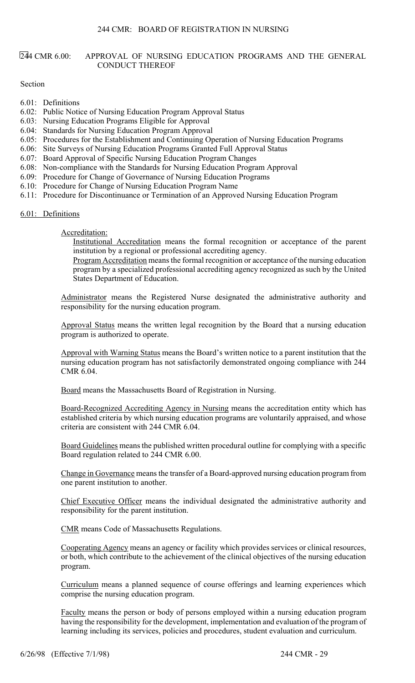### 244 CMR 6.00: APPROVAL OF NURSING EDUCATION PROGRAMS AND THE GENERAL CONDUCT THEREOF

Section

- 6.01: Definitions
- 6.02: Public Notice of Nursing Education Program Approval Status
- 6.03: Nursing Education Programs Eligible for Approval
- 6.04: Standards for Nursing Education Program Approval
- 6.05: Procedures for the Establishment and Continuing Operation of Nursing Education Programs
- 6.06: Site Surveys of Nursing Education Programs Granted Full Approval Status
- 6.07: Board Approval of Specific Nursing Education Program Changes
- 6.08: Non-compliance with the Standards for Nursing Education Program Approval
- 6.09: Procedure for Change of Governance of Nursing Education Programs
- 6.10: Procedure for Change of Nursing Education Program Name
- 6.11: Procedure for Discontinuance or Termination of an Approved Nursing Education Program

6.01: Definitions

### Accreditation:

Institutional Accreditation means the formal recognition or acceptance of the parent institution by a regional or professional accrediting agency.

Program Accreditation means the formal recognition or acceptance of the nursing education program by a specialized professional accrediting agency recognized as such by the United States Department of Education.

Administrator means the Registered Nurse designated the administrative authority and responsibility for the nursing education program.

Approval Status means the written legal recognition by the Board that a nursing education program is authorized to operate.

Approval with Warning Status means the Board's written notice to a parent institution that the nursing education program has not satisfactorily demonstrated ongoing compliance with 244 CMR 6.04.

Board means the Massachusetts Board of Registration in Nursing.

Board-Recognized Accrediting Agency in Nursing means the accreditation entity which has established criteria by which nursing education programs are voluntarily appraised, and whose criteria are consistent with 244 CMR 6.04.

Board Guidelines means the published written procedural outline for complying with a specific Board regulation related to 244 CMR 6.00.

Change in Governance means the transfer of a Board-approved nursing education program from one parent institution to another.

Chief Executive Officer means the individual designated the administrative authority and responsibility for the parent institution.

CMR means Code of Massachusetts Regulations.

Cooperating Agency means an agency or facility which provides services or clinical resources, or both, which contribute to the achievement of the clinical objectives of the nursing education program.

Curriculum means a planned sequence of course offerings and learning experiences which comprise the nursing education program.

Faculty means the person or body of persons employed within a nursing education program having the responsibility for the development, implementation and evaluation of the program of learning including its services, policies and procedures, student evaluation and curriculum.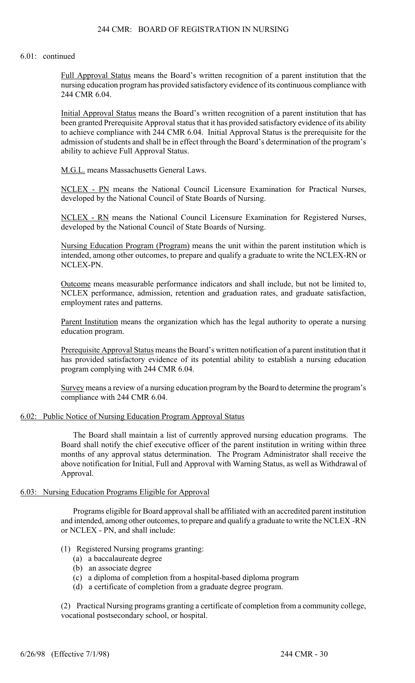#### 6.01: continued

Full Approval Status means the Board's written recognition of a parent institution that the nursing education program has provided satisfactory evidence of its continuous compliance with 244 CMR 6.04.

Initial Approval Status means the Board's written recognition of a parent institution that has been granted Prerequisite Approval status that it has provided satisfactory evidence of its ability to achieve compliance with 244 CMR 6.04. Initial Approval Status is the prerequisite for the admission of students and shall be in effect through the Board's determination of the program's ability to achieve Full Approval Status.

M.G.L. means Massachusetts General Laws.

NCLEX - PN means the National Council Licensure Examination for Practical Nurses, developed by the National Council of State Boards of Nursing.

NCLEX - RN means the National Council Licensure Examination for Registered Nurses, developed by the National Council of State Boards of Nursing.

Nursing Education Program (Program) means the unit within the parent institution which is intended, among other outcomes, to prepare and qualify a graduate to write the NCLEX-RN or NCLEX-PN.

Outcome means measurable performance indicators and shall include, but not be limited to, NCLEX performance, admission, retention and graduation rates, and graduate satisfaction, employment rates and patterns.

Parent Institution means the organization which has the legal authority to operate a nursing education program.

Prerequisite Approval Status means the Board's written notification of a parent institution that it has provided satisfactory evidence of its potential ability to establish a nursing education program complying with 244 CMR 6.04.

Survey means a review of a nursing education program by the Board to determine the program's compliance with 244 CMR 6.04.

#### 6.02: Public Notice of Nursing Education Program Approval Status

The Board shall maintain a list of currently approved nursing education programs. The Board shall notify the chief executive officer of the parent institution in writing within three months of any approval status determination. The Program Administrator shall receive the above notification for Initial, Full and Approval with Warning Status, as well as Withdrawal of Approval.

#### 6.03: Nursing Education Programs Eligible for Approval

Programs eligible for Board approval shall be affiliated with an accredited parent institution and intended, among other outcomes, to prepare and qualify a graduate to write the NCLEX -RN or NCLEX - PN, and shall include:

- (1) Registered Nursing programs granting:
	- (a) a baccalaureate degree
	- (b) an associate degree
	- (c) a diploma of completion from a hospital-based diploma program
	- (d) a certificate of completion from a graduate degree program.

(2) Practical Nursing programs granting a certificate of completion from a community college, vocational postsecondary school, or hospital.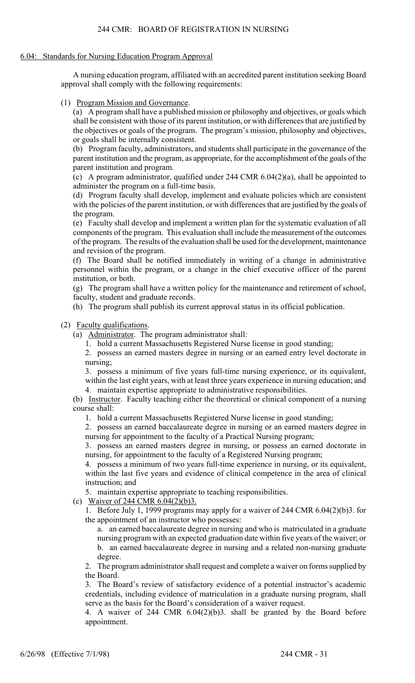# 6.04: Standards for Nursing Education Program Approval

A nursing education program, affiliated with an accredited parent institution seeking Board approval shall comply with the following requirements:

(1) Program Mission and Governance.

(a) A program shall have a published mission or philosophy and objectives, or goals which shall be consistent with those of its parent institution, or with differences that are justified by the objectives or goals of the program. The program's mission, philosophy and objectives, or goals shall be internally consistent.

(b) Program faculty, administrators, and students shall participate in the governance of the parent institution and the program, as appropriate, for the accomplishment of the goals of the parent institution and program.

(c) A program administrator, qualified under 244 CMR 6.04(2)(a), shall be appointed to administer the program on a full-time basis.

(d) Program faculty shall develop, implement and evaluate policies which are consistent with the policies of the parent institution, or with differences that are justified by the goals of the program.

(e) Faculty shall develop and implement a written plan for the systematic evaluation of all components of the program. This evaluation shall include the measurement of the outcomes of the program. The results of the evaluation shall be used for the development, maintenance and revision of the program.

(f) The Board shall be notified immediately in writing of a change in administrative personnel within the program, or a change in the chief executive officer of the parent institution, or both.

(g) The program shall have a written policy for the maintenance and retirement of school, faculty, student and graduate records.

(h) The program shall publish its current approval status in its official publication.

# (2) Faculty qualifications.

(a) Administrator. The program administrator shall:

1. hold a current Massachusetts Registered Nurse license in good standing;

2. possess an earned masters degree in nursing or an earned entry level doctorate in nursing;

3. possess a minimum of five years full-time nursing experience, or its equivalent, within the last eight years, with at least three years experience in nursing education; and

4. maintain expertise appropriate to administrative responsibilities.

(b) Instructor. Faculty teaching either the theoretical or clinical component of a nursing course shall:

1. hold a current Massachusetts Registered Nurse license in good standing;

2. possess an earned baccalaureate degree in nursing or an earned masters degree in nursing for appointment to the faculty of a Practical Nursing program;

3. possess an earned masters degree in nursing, or possess an earned doctorate in nursing, for appointment to the faculty of a Registered Nursing program;

4. possess a minimum of two years full-time experience in nursing, or its equivalent, within the last five years and evidence of clinical competence in the area of clinical instruction; and

5. maintain expertise appropriate to teaching responsibilities.

(c) Waiver of 244 CMR  $6.04(2)(b)3$ .

1. Before July 1, 1999 programs may apply for a waiver of 244 CMR 6.04(2)(b)3. for the appointment of an instructor who possesses:

a. an earned baccalaureate degree in nursing and who is matriculated in a graduate nursing program with an expected graduation date within five years of the waiver; or b. an earned baccalaureate degree in nursing and a related non-nursing graduate degree.

2. The program administrator shall request and complete a waiver on forms supplied by the Board.

3. The Board's review of satisfactory evidence of a potential instructor's academic credentials, including evidence of matriculation in a graduate nursing program, shall serve as the basis for the Board's consideration of a waiver request.

4. A waiver of 244 CMR 6.04(2)(b)3. shall be granted by the Board before appointment.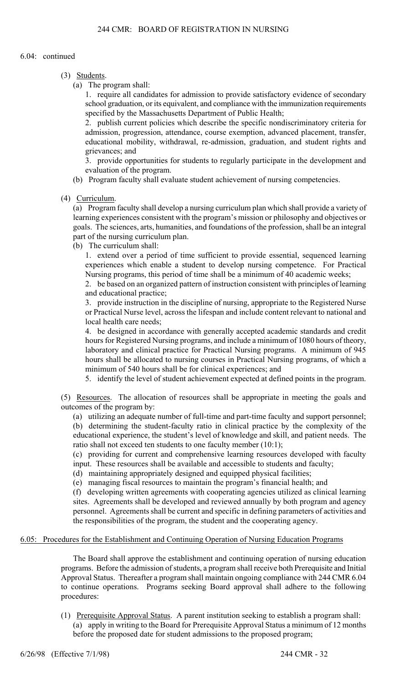#### 6.04: continued

- (3) Students.
	- (a) The program shall:

1. require all candidates for admission to provide satisfactory evidence of secondary school graduation, or its equivalent, and compliance with the immunization requirements specified by the Massachusetts Department of Public Health;

2. publish current policies which describe the specific nondiscriminatory criteria for admission, progression, attendance, course exemption, advanced placement, transfer, educational mobility, withdrawal, re-admission, graduation, and student rights and grievances; and

3. provide opportunities for students to regularly participate in the development and evaluation of the program.

- (b) Program faculty shall evaluate student achievement of nursing competencies.
- (4) Curriculum.

(a) Program faculty shall develop a nursing curriculum plan which shall provide a variety of learning experiences consistent with the program's mission or philosophy and objectives or goals. The sciences, arts, humanities, and foundations of the profession, shall be an integral part of the nursing curriculum plan.

(b) The curriculum shall:

1. extend over a period of time sufficient to provide essential, sequenced learning experiences which enable a student to develop nursing competence. For Practical Nursing programs, this period of time shall be a minimum of 40 academic weeks;

2. be based on an organized pattern of instruction consistent with principles of learning and educational practice;

3. provide instruction in the discipline of nursing, appropriate to the Registered Nurse or Practical Nurse level, across the lifespan and include content relevant to national and local health care needs;

4. be designed in accordance with generally accepted academic standards and credit hours for Registered Nursing programs, and include a minimum of 1080 hours of theory, laboratory and clinical practice for Practical Nursing programs. A minimum of 945 hours shall be allocated to nursing courses in Practical Nursing programs, of which a minimum of 540 hours shall be for clinical experiences; and

5. identify the level of student achievement expected at defined points in the program.

(5) Resources. The allocation of resources shall be appropriate in meeting the goals and outcomes of the program by:

(a) utilizing an adequate number of full-time and part-time faculty and support personnel; (b) determining the student-faculty ratio in clinical practice by the complexity of the educational experience, the student's level of knowledge and skill, and patient needs. The ratio shall not exceed ten students to one faculty member (10:1);

(c) providing for current and comprehensive learning resources developed with faculty input. These resources shall be available and accessible to students and faculty;

(d) maintaining appropriately designed and equipped physical facilities;

(e) managing fiscal resources to maintain the program's financial health; and

(f) developing written agreements with cooperating agencies utilized as clinical learning sites. Agreements shall be developed and reviewed annually by both program and agency personnel. Agreements shall be current and specific in defining parameters of activities and the responsibilities of the program, the student and the cooperating agency.

### 6.05: Procedures for the Establishment and Continuing Operation of Nursing Education Programs

The Board shall approve the establishment and continuing operation of nursing education programs. Before the admission of students, a program shall receive both Prerequisite and Initial Approval Status. Thereafter a program shall maintain ongoing compliance with 244 CMR 6.04 to continue operations. Programs seeking Board approval shall adhere to the following procedures:

(1) Prerequisite Approval Status. A parent institution seeking to establish a program shall: (a) apply in writing to the Board for Prerequisite Approval Status a minimum of 12 months before the proposed date for student admissions to the proposed program;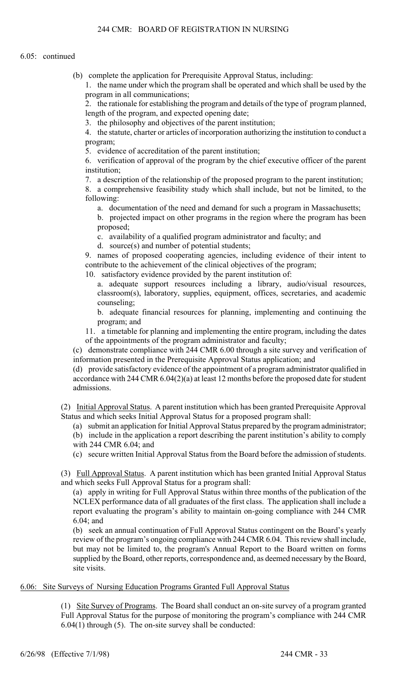(b) complete the application for Prerequisite Approval Status, including:

1. the name under which the program shall be operated and which shall be used by the program in all communications;

2. the rationale for establishing the program and details of the type of program planned, length of the program, and expected opening date;

3. the philosophy and objectives of the parent institution;

4. the statute, charter or articles of incorporation authorizing the institution to conduct a program;

5. evidence of accreditation of the parent institution;

6. verification of approval of the program by the chief executive officer of the parent institution;

7. a description of the relationship of the proposed program to the parent institution;

8. a comprehensive feasibility study which shall include, but not be limited, to the following:

a. documentation of the need and demand for such a program in Massachusetts;

b. projected impact on other programs in the region where the program has been proposed;

c. availability of a qualified program administrator and faculty; and

d. source(s) and number of potential students;

9. names of proposed cooperating agencies, including evidence of their intent to contribute to the achievement of the clinical objectives of the program;

10. satisfactory evidence provided by the parent institution of:

a. adequate support resources including a library, audio/visual resources, classroom(s), laboratory, supplies, equipment, offices, secretaries, and academic counseling;

b. adequate financial resources for planning, implementing and continuing the program; and

11. a timetable for planning and implementing the entire program, including the dates of the appointments of the program administrator and faculty;

(c) demonstrate compliance with 244 CMR 6.00 through a site survey and verification of information presented in the Prerequisite Approval Status application; and

(d) provide satisfactory evidence of the appointment of a program administrator qualified in accordance with 244 CMR 6.04(2)(a) at least 12 months before the proposed date for student admissions.

(2) Initial Approval Status. A parent institution which has been granted Prerequisite Approval Status and which seeks Initial Approval Status for a proposed program shall:

(a) submit an application for Initial Approval Status prepared by the program administrator;

(b) include in the application a report describing the parent institution's ability to comply with 244 CMR 6.04; and

(c) secure written Initial Approval Status from the Board before the admission of students.

(3) Full Approval Status. A parent institution which has been granted Initial Approval Status and which seeks Full Approval Status for a program shall:

(a) apply in writing for Full Approval Status within three months of the publication of the NCLEX performance data of all graduates of the first class. The application shall include a report evaluating the program's ability to maintain on-going compliance with 244 CMR 6.04; and

(b) seek an annual continuation of Full Approval Status contingent on the Board's yearly review of the program's ongoing compliance with 244 CMR 6.04. This review shall include, but may not be limited to, the program's Annual Report to the Board written on forms supplied by the Board, other reports, correspondence and, as deemed necessary by the Board, site visits.

### 6.06: Site Surveys of Nursing Education Programs Granted Full Approval Status

(1) Site Survey of Programs. The Board shall conduct an on-site survey of a program granted Full Approval Status for the purpose of monitoring the program's compliance with 244 CMR 6.04(1) through (5). The on-site survey shall be conducted: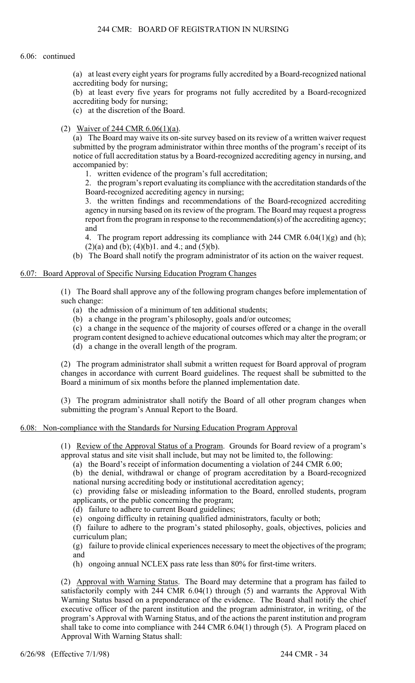#### 6.06: continued

(a) at least every eight years for programs fully accredited by a Board-recognized national accrediting body for nursing;

(b) at least every five years for programs not fully accredited by a Board-recognized accrediting body for nursing;

(c) at the discretion of the Board.

(2) Waiver of 244 CMR 6.06(1)(a).

(a) The Board may waive its on-site survey based on its review of a written waiver request submitted by the program administrator within three months of the program's receipt of its notice of full accreditation status by a Board-recognized accrediting agency in nursing, and accompanied by:

1. written evidence of the program's full accreditation;

2. the program's report evaluating its compliance with the accreditation standards of the Board-recognized accrediting agency in nursing;

3. the written findings and recommendations of the Board-recognized accrediting agency in nursing based on its review of the program. The Board may request a progress report from the program in response to the recommendation(s) of the accrediting agency; and

4. The program report addressing its compliance with 244 CMR 6.04(1)(g) and (h);  $(2)(a)$  and  $(b)$ ;  $(4)(b)1$ . and  $4$ .; and  $(5)(b)$ .

(b) The Board shall notify the program administrator of its action on the waiver request.

#### 6.07: Board Approval of Specific Nursing Education Program Changes

(1) The Board shall approve any of the following program changes before implementation of such change:

- (a) the admission of a minimum of ten additional students;
- (b) a change in the program's philosophy, goals and/or outcomes;
- (c) a change in the sequence of the majority of courses offered or a change in the overall
- program content designed to achieve educational outcomes which may alter the program; or
- (d) a change in the overall length of the program.

(2) The program administrator shall submit a written request for Board approval of program changes in accordance with current Board guidelines. The request shall be submitted to the Board a minimum of six months before the planned implementation date.

(3) The program administrator shall notify the Board of all other program changes when submitting the program's Annual Report to the Board.

#### 6.08: Non-compliance with the Standards for Nursing Education Program Approval

(1) Review of the Approval Status of a Program. Grounds for Board review of a program's approval status and site visit shall include, but may not be limited to, the following:

(a) the Board's receipt of information documenting a violation of 244 CMR 6.00;

(b) the denial, withdrawal or change of program accreditation by a Board-recognized national nursing accrediting body or institutional accreditation agency;

(c) providing false or misleading information to the Board, enrolled students, program applicants, or the public concerning the program;

(d) failure to adhere to current Board guidelines;

(e) ongoing difficulty in retaining qualified administrators, faculty or both;

(f) failure to adhere to the program's stated philosophy, goals, objectives, policies and curriculum plan;

(g) failure to provide clinical experiences necessary to meet the objectives of the program; and

(h) ongoing annual NCLEX pass rate less than 80% for first-time writers.

(2) Approval with Warning Status. The Board may determine that a program has failed to satisfactorily comply with 244 CMR 6.04(1) through (5) and warrants the Approval With Warning Status based on a preponderance of the evidence. The Board shall notify the chief executive officer of the parent institution and the program administrator, in writing, of the program's Approval with Warning Status, and of the actions the parent institution and program shall take to come into compliance with 244 CMR 6.04(1) through (5). A Program placed on Approval With Warning Status shall: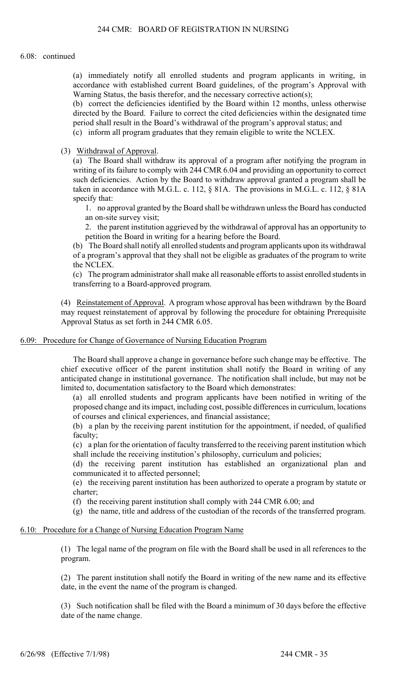#### 6.08: continued

(a) immediately notify all enrolled students and program applicants in writing, in accordance with established current Board guidelines, of the program's Approval with Warning Status, the basis therefor, and the necessary corrective action(s);

(b) correct the deficiencies identified by the Board within 12 months, unless otherwise directed by the Board. Failure to correct the cited deficiencies within the designated time period shall result in the Board's withdrawal of the program's approval status; and

(c) inform all program graduates that they remain eligible to write the NCLEX.

(3) Withdrawal of Approval.

(a) The Board shall withdraw its approval of a program after notifying the program in writing of its failure to comply with 244 CMR 6.04 and providing an opportunity to correct such deficiencies. Action by the Board to withdraw approval granted a program shall be taken in accordance with M.G.L. c. 112, § 81A. The provisions in M.G.L. c. 112, § 81A specify that:

1. no approval granted by the Board shall be withdrawn unless the Board has conducted an on-site survey visit;

2. the parent institution aggrieved by the withdrawal of approval has an opportunity to petition the Board in writing for a hearing before the Board.

(b) The Board shall notify all enrolled students and program applicants upon its withdrawal of a program's approval that they shall not be eligible as graduates of the program to write the NCLEX.

(c) The program administrator shall make all reasonable efforts to assist enrolled students in transferring to a Board-approved program.

(4) Reinstatement of Approval. A program whose approval has been withdrawn by the Board may request reinstatement of approval by following the procedure for obtaining Prerequisite Approval Status as set forth in 244 CMR 6.05.

#### 6.09: Procedure for Change of Governance of Nursing Education Program

The Board shall approve a change in governance before such change may be effective. The chief executive officer of the parent institution shall notify the Board in writing of any anticipated change in institutional governance. The notification shall include, but may not be limited to, documentation satisfactory to the Board which demonstrates:

(a) all enrolled students and program applicants have been notified in writing of the proposed change and its impact, including cost, possible differences in curriculum, locations of courses and clinical experiences, and financial assistance;

(b) a plan by the receiving parent institution for the appointment, if needed, of qualified faculty;

(c) a plan for the orientation of faculty transferred to the receiving parent institution which shall include the receiving institution's philosophy, curriculum and policies;

(d) the receiving parent institution has established an organizational plan and communicated it to affected personnel;

(e) the receiving parent institution has been authorized to operate a program by statute or charter;

(f) the receiving parent institution shall comply with 244 CMR 6.00; and

(g) the name, title and address of the custodian of the records of the transferred program.

#### 6.10: Procedure for a Change of Nursing Education Program Name

(1) The legal name of the program on file with the Board shall be used in all references to the program.

(2) The parent institution shall notify the Board in writing of the new name and its effective date, in the event the name of the program is changed.

(3) Such notification shall be filed with the Board a minimum of 30 days before the effective date of the name change.